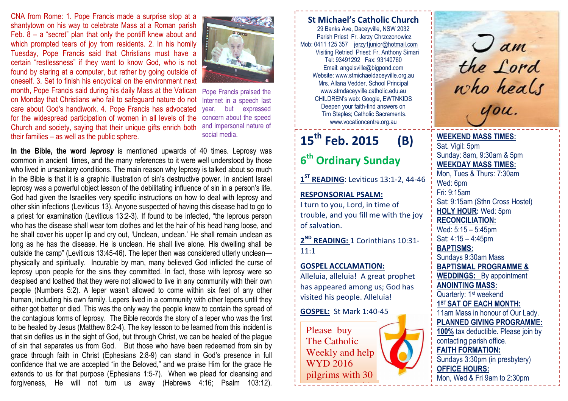CNA from Rome: 1. Pope Francis made a surprise stop at a shantytown on his way to celebrate Mass at a Roman parish Feb.  $8 - a$  "secret" plan that only the pontiff knew about and which prompted tears of joy from residents. 2. In his homily Tuesday, Pope Francis said that Christians must have a certain "restlessness" if they want to know God, who is not found by staring at a computer, but rather by going outside of oneself. 3. Set to finish his encyclical on the environment next month, Pope Francis said during his daily Mass at the Vatican Pope Francis praised the on Monday that Christians who fail to safeguard nature do not care about God's handiwork. 4. Pope Francis has advocated for the widespread participation of women in all levels of the Church and society, saying that their unique gifts enrich both their families – as well as the public sphere.



 Internet in a speech last year, but expressed concern about the speed and impersonal nature of social media.

In the Bible, the word leprosy is mentioned upwards of 40 times. Leprosy was common in ancient times, and the many references to it were well understood by those who lived in unsanitary conditions. The main reason why leprosy is talked about so much in the Bible is that it is a graphic illustration of sin's destructive power. In ancient Israel leprosy was a powerful object lesson of the debilitating influence of sin in a person's life. God had given the Israelites very specific instructions on how to deal with leprosy and other skin infections (Leviticus 13). Anyone suspected of having this disease had to go to a priest for examination (Leviticus 13:2-3). If found to be infected, "the leprous person who has the disease shall wear torn clothes and let the hair of his head hang loose, and he shall cover his upper lip and cry out, 'Unclean, unclean.' He shall remain unclean as long as he has the disease. He is unclean. He shall live alone. His dwelling shall be outside the camp" (Leviticus 13:45-46). The leper then was considered utterly unclean physically and spiritually. Incurable by man, many believed God inflicted the curse of leprosy upon people for the sins they committed. In fact, those with leprosy were so despised and loathed that they were not allowed to live in any community with their own people (Numbers 5:2). A leper wasn't allowed to come within six feet of any other human, including his own family. Lepers lived in a community with other lepers until they either got better or died. This was the only way the people knew to contain the spread of the contagious forms of leprosy. The Bible records the story of a leper who was the first to be healed by Jesus (Matthew 8:2-4). The key lesson to be learned from this incident is that sin defiles us in the sight of God, but through Christ, we can be healed of the plague of sin that separates us from God. But those who have been redeemed from sin by grace through faith in Christ (Ephesians 2:8-9) can stand in God's presence in full confidence that we are accepted "in the Beloved," and we praise Him for the grace He extends to us for that purpose (Ephesians 1:5-7). When we plead for cleansing and forgiveness, He will not turn us away (Hebrews 4:16; Psalm 103:12).

#### St Michael's Catholic Church 29 Banks Ave, Daceyville, NSW 2032 Parish Priest Fr. Jerzy Chrzczonowicz Mob: 0411 125 357 jerzy1junior@hotmail.com Visiting Retried Priest: Fr. Anthony Simari Tel: 93491292 Fax: 93140760 Email: angelsville@bigpond.com Website: www.stmichaeldaceyville.org.au Mrs. Allana Vedder, School Principal www.stmdaceyville.catholic.edu.au CHILDREN's web: Google, EWTNKIDS Deepen your faith-find answers on Tim Staples; Catholic Sacraments. www.vocationcentre.org.au

## $15^{th}$  Feb. 2015 (B)

# 6<sup>th</sup> Ordinary Sunday

 $1<sup>ST</sup>$  READING: Leviticus 13:1-2, 44-46

## RESPONSORIAL PSALM:

I turn to you, Lord, in time of trouble, and you fill me with the joy of salvation.

2<sup>ND</sup> READING: 1 Corinthians 10:31-11:1

#### GOSPEL ACCLAMATION:

Alleluia, alleluia! A great prophet has appeared among us; God has visited his people. Alleluia!

GOSPEL: St Mark 1:40-45

Please buy The Catholic Weekly and help WYD 2016 pilgrims with 30 cents of each  $\mathcal{L}_{\mathcal{L}}$ 

 $\int$  am the Lord who heals you.

## WEEKEND MASS TIMES:Sat. Vigil: 5pm Sunday: 8am, 9:30am & 5pm WEEKDAY MASS TIMES: Mon, Tues & Thurs: 7:30am Wed: 6pm Fri: 9:15am Sat: 9:15am (Sthn Cross Hostel) HOLY HOUR: Wed: 5pm RECONCILIATION: Wed: 5:15 – 5:45pm Sat: 4:15 – 4:45pm BAPTISMS: Sundays 9:30am Mass BAPTISMAL PROGRAMME & WEDDINGS: By appointment ANOINTING MASS: Quarterly: 1<sup>st</sup> weekend 1ST SAT OF EACH MONTH: 11am Mass in honour of Our Lady. PLANNED GIVING PROGRAMME:

100% tax deductible. Please join by contacting parish office. FAITH FORMATION: Sundays 3:30pm (in presbytery) OFFICE HOURS:

Mon, Wed & Fri 9am to 2:30pm